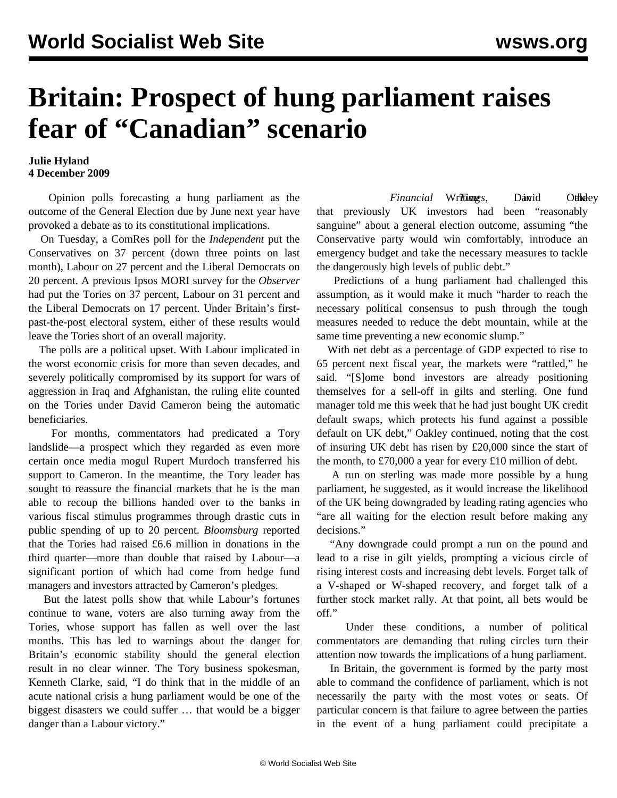## **Britain: Prospect of hung parliament raises fear of "Canadian" scenario**

## **Julie Hyland 4 December 2009**

 Opinion polls forecasting a hung parliament as the outcome of the General Election due by June next year have provoked a debate as to its constitutional implications.

 On Tuesday, a ComRes poll for the *Independent* put the Conservatives on 37 percent (down three points on last month), Labour on 27 percent and the Liberal Democrats on 20 percent. A previous Ipsos MORI survey for the *Observer* had put the Tories on 37 percent, Labour on 31 percent and the Liberal Democrats on 17 percent. Under Britain's firstpast-the-post electoral system, either of these results would leave the Tories short of an overall majority.

 The polls are a political upset. With Labour implicated in the worst economic crisis for more than seven decades, and severely politically compromised by its support for wars of aggression in Iraq and Afghanistan, the ruling elite counted on the Tories under David Cameron being the automatic beneficiaries.

 For months, commentators had predicated a Tory landslide—a prospect which they regarded as even more certain once media mogul Rupert Murdoch transferred his support to Cameron. In the meantime, the Tory leader has sought to reassure the financial markets that he is the man able to recoup the billions handed over to the banks in various fiscal stimulus programmes through drastic cuts in public spending of up to 20 percent. *Bloomsburg* reported that the Tories had raised £6.6 million in donations in the third quarter—more than double that raised by Labour—a significant portion of which had come from hedge fund managers and investors attracted by Cameron's pledges.

 But the latest polls show that while Labour's fortunes continue to wane, voters are also turning away from the Tories, whose support has fallen as well over the last months. This has led to warnings about the danger for Britain's economic stability should the general election result in no clear winner. The Tory business spokesman, Kenneth Clarke, said, "I do think that in the middle of an acute national crisis a hung parliament would be one of the biggest disasters we could suffer … that would be a bigger danger than a Labour victory."

Financial Writings, Dawid Otheley that previously UK investors had been "reasonably sanguine" about a general election outcome, assuming "the Conservative party would win comfortably, introduce an emergency budget and take the necessary measures to tackle the dangerously high levels of public debt."

 Predictions of a hung parliament had challenged this assumption, as it would make it much "harder to reach the necessary political consensus to push through the tough measures needed to reduce the debt mountain, while at the same time preventing a new economic slump."

 With net debt as a percentage of GDP expected to rise to 65 percent next fiscal year, the markets were "rattled," he said. "[S]ome bond investors are already positioning themselves for a sell-off in gilts and sterling. One fund manager told me this week that he had just bought UK credit default swaps, which protects his fund against a possible default on UK debt," Oakley continued, noting that the cost of insuring UK debt has risen by £20,000 since the start of the month, to £70,000 a year for every £10 million of debt.

 A run on sterling was made more possible by a hung parliament, he suggested, as it would increase the likelihood of the UK being downgraded by leading rating agencies who "are all waiting for the election result before making any decisions."

 "Any downgrade could prompt a run on the pound and lead to a rise in gilt yields, prompting a vicious circle of rising interest costs and increasing debt levels. Forget talk of a V-shaped or W-shaped recovery, and forget talk of a further stock market rally. At that point, all bets would be off."

 Under these conditions, a number of political commentators are demanding that ruling circles turn their attention now towards the implications of a hung parliament.

 In Britain, the government is formed by the party most able to command the confidence of parliament, which is not necessarily the party with the most votes or seats. Of particular concern is that failure to agree between the parties in the event of a hung parliament could precipitate a